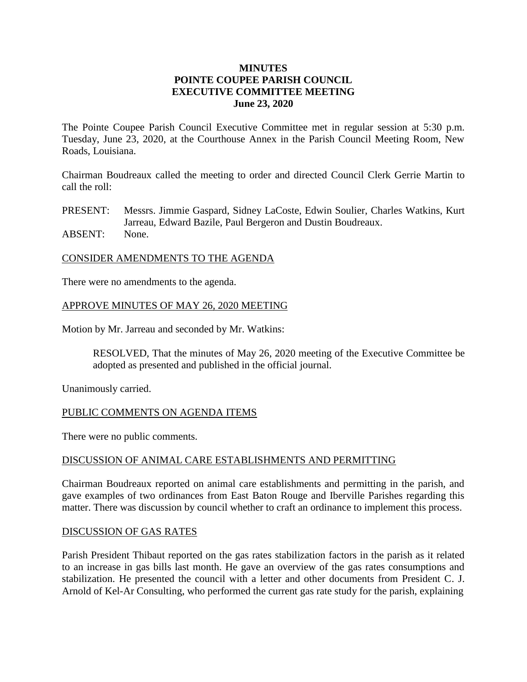## **MINUTES POINTE COUPEE PARISH COUNCIL EXECUTIVE COMMITTEE MEETING June 23, 2020**

The Pointe Coupee Parish Council Executive Committee met in regular session at 5:30 p.m. Tuesday, June 23, 2020, at the Courthouse Annex in the Parish Council Meeting Room, New Roads, Louisiana.

Chairman Boudreaux called the meeting to order and directed Council Clerk Gerrie Martin to call the roll:

PRESENT: Messrs. Jimmie Gaspard, Sidney LaCoste, Edwin Soulier, Charles Watkins, Kurt Jarreau, Edward Bazile, Paul Bergeron and Dustin Boudreaux. ABSENT: None.

### CONSIDER AMENDMENTS TO THE AGENDA

There were no amendments to the agenda.

### APPROVE MINUTES OF MAY 26, 2020 MEETING

Motion by Mr. Jarreau and seconded by Mr. Watkins:

RESOLVED, That the minutes of May 26, 2020 meeting of the Executive Committee be adopted as presented and published in the official journal.

Unanimously carried.

#### PUBLIC COMMENTS ON AGENDA ITEMS

There were no public comments.

#### DISCUSSION OF ANIMAL CARE ESTABLISHMENTS AND PERMITTING

Chairman Boudreaux reported on animal care establishments and permitting in the parish, and gave examples of two ordinances from East Baton Rouge and Iberville Parishes regarding this matter. There was discussion by council whether to craft an ordinance to implement this process.

#### DISCUSSION OF GAS RATES

Parish President Thibaut reported on the gas rates stabilization factors in the parish as it related to an increase in gas bills last month. He gave an overview of the gas rates consumptions and stabilization. He presented the council with a letter and other documents from President C. J. Arnold of Kel-Ar Consulting, who performed the current gas rate study for the parish, explaining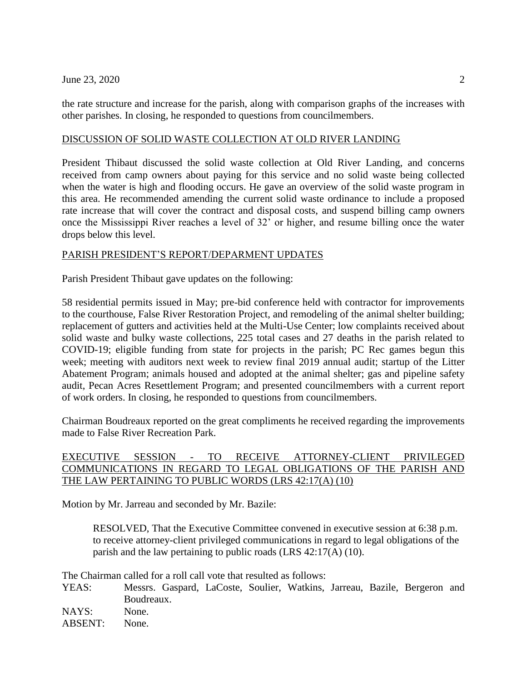### June 23, 2020 2

the rate structure and increase for the parish, along with comparison graphs of the increases with other parishes. In closing, he responded to questions from councilmembers.

### DISCUSSION OF SOLID WASTE COLLECTION AT OLD RIVER LANDING

President Thibaut discussed the solid waste collection at Old River Landing, and concerns received from camp owners about paying for this service and no solid waste being collected when the water is high and flooding occurs. He gave an overview of the solid waste program in this area. He recommended amending the current solid waste ordinance to include a proposed rate increase that will cover the contract and disposal costs, and suspend billing camp owners once the Mississippi River reaches a level of 32' or higher, and resume billing once the water drops below this level.

### PARISH PRESIDENT'S REPORT/DEPARMENT UPDATES

Parish President Thibaut gave updates on the following:

58 residential permits issued in May; pre-bid conference held with contractor for improvements to the courthouse, False River Restoration Project, and remodeling of the animal shelter building; replacement of gutters and activities held at the Multi-Use Center; low complaints received about solid waste and bulky waste collections, 225 total cases and 27 deaths in the parish related to COVID-19; eligible funding from state for projects in the parish; PC Rec games begun this week; meeting with auditors next week to review final 2019 annual audit; startup of the Litter Abatement Program; animals housed and adopted at the animal shelter; gas and pipeline safety audit, Pecan Acres Resettlement Program; and presented councilmembers with a current report of work orders. In closing, he responded to questions from councilmembers.

Chairman Boudreaux reported on the great compliments he received regarding the improvements made to False River Recreation Park.

## EXECUTIVE SESSION - TO RECEIVE ATTORNEY-CLIENT PRIVILEGED COMMUNICATIONS IN REGARD TO LEGAL OBLIGATIONS OF THE PARISH AND THE LAW PERTAINING TO PUBLIC WORDS (LRS 42:17(A) (10)

Motion by Mr. Jarreau and seconded by Mr. Bazile:

RESOLVED, That the Executive Committee convened in executive session at 6:38 p.m. to receive attorney-client privileged communications in regard to legal obligations of the parish and the law pertaining to public roads (LRS 42:17(A) (10).

The Chairman called for a roll call vote that resulted as follows:

YEAS: Messrs. Gaspard, LaCoste, Soulier, Watkins, Jarreau, Bazile, Bergeron and Boudreaux.

NAYS: None. ABSENT: None.